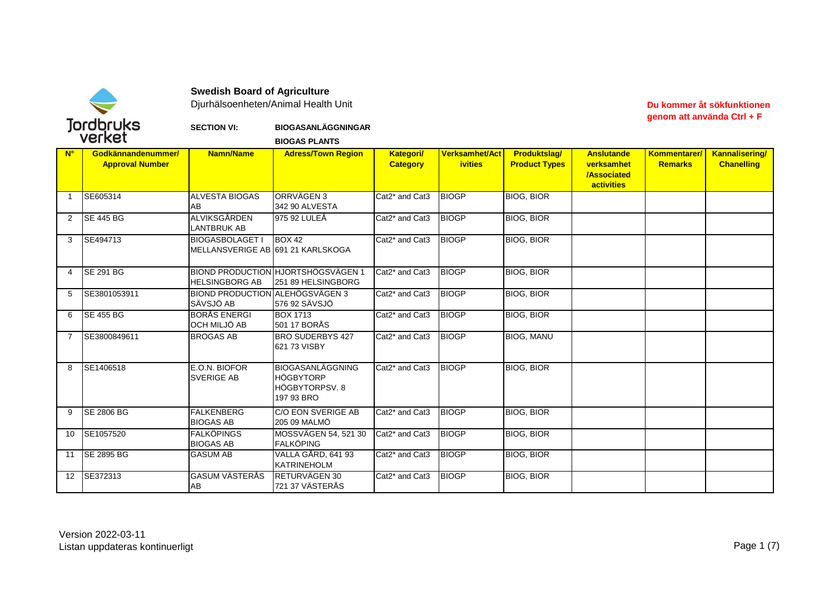

**Swedish Board of Agriculture** 

Djurhälsoenheten/Animal Health Unit

## Du kommer åt sökfunktionen genom att använda Ctrl + F

## **BIOGASANLÄGGNINGAR SECTION VI:**

|                | verket                                       |                                                             | <b>BIOGAS PLANTS</b>                                                        |                                         |                                         |                                             |                                                                            |                                |                                            |
|----------------|----------------------------------------------|-------------------------------------------------------------|-----------------------------------------------------------------------------|-----------------------------------------|-----------------------------------------|---------------------------------------------|----------------------------------------------------------------------------|--------------------------------|--------------------------------------------|
| $N^{\circ}$    | Godkännandenummer/<br><b>Approval Number</b> | <b>Namn/Name</b>                                            | <b>Adress/Town Region</b>                                                   | <b>Kategori/</b><br><b>Category</b>     | <b>Verksamhet/Act</b><br><b>ivities</b> | <b>Produktslag/</b><br><b>Product Types</b> | <b>Anslutande</b><br>verksamhet<br><b>/Associated</b><br><b>activities</b> | Kommentarer/<br><b>Remarks</b> | <b>Kannalisering/</b><br><b>Chanelling</b> |
| $\overline{1}$ | SE605314                                     | <b>ALVESTA BIOGAS</b><br>AB                                 | ORRVÄGEN 3<br>342 90 ALVESTA                                                | Cat2* and Cat3                          | <b>BIOGP</b>                            | <b>BIOG, BIOR</b>                           |                                                                            |                                |                                            |
| 2              | <b>ISE 445 BG</b>                            | ALVIKSGÅRDEN<br><b>LANTBRUK AB</b>                          | 975 92 LULEÅ                                                                | Cat <sub>2</sub> * and Cat <sub>3</sub> | <b>BIOGP</b>                            | <b>BIOG, BIOR</b>                           |                                                                            |                                |                                            |
| 3              | SE494713                                     | <b>BIOGASBOLAGET I</b><br>MELLANSVERIGE AB 691 21 KARLSKOGA | <b>BOX 42</b>                                                               | Cat2* and Cat3                          | <b>BIOGP</b>                            | <b>BIOG, BIOR</b>                           |                                                                            |                                |                                            |
| 4              | <b>ISE 291 BG</b>                            | <b>HELSINGBORG AB</b>                                       | <b>BIOND PRODUCTION HJORTSHÖGSVÄGEN 1</b><br>251 89 HELSINGBORG             | Cat <sub>2</sub> * and Cat <sub>3</sub> | <b>BIOGP</b>                            | <b>BIOG, BIOR</b>                           |                                                                            |                                |                                            |
| 5              | SE3801053911                                 | <b>BIOND PRODUCTION ALEHÖGSVÄGEN 3</b><br>SÄVSJÖ AB         | 576 92 SÄVSJÖ                                                               | Cat2* and Cat3                          | <b>BIOGP</b>                            | <b>BIOG, BIOR</b>                           |                                                                            |                                |                                            |
| 6              | <b>ISE 455 BG</b>                            | <b>BORÅS ENERGI</b><br>OCH MILJÖ AB                         | <b>BOX 1713</b><br>501 17 BORÅS                                             | Cat <sub>2</sub> * and Cat <sub>3</sub> | <b>BIOGP</b>                            | <b>BIOG, BIOR</b>                           |                                                                            |                                |                                            |
| $\overline{7}$ | SE3800849611                                 | <b>BROGAS AB</b>                                            | <b>BRO SUDERBYS 427</b><br>621 73 VISBY                                     | Cat2* and Cat3                          | <b>BIOGP</b>                            | <b>BIOG, MANU</b>                           |                                                                            |                                |                                            |
| 8              | SE1406518                                    | E.O.N. BIOFOR<br><b>SVERIGE AB</b>                          | <b>BIOGASANLÄGGNING</b><br><b>HÖGBYTORP</b><br>HÖGBYTORPSV, 8<br>197 93 BRO | Cat <sub>2</sub> * and Cat <sub>3</sub> | <b>BIOGP</b>                            | <b>BIOG, BIOR</b>                           |                                                                            |                                |                                            |
| 9              | <b>SE 2806 BG</b>                            | <b>FALKENBERG</b><br><b>BIOGAS AB</b>                       | <b>C/O EON SVERIGE AB</b><br>205 09 MALMÖ                                   | Cat <sub>2</sub> * and Cat <sub>3</sub> | <b>BIOGP</b>                            | <b>BIOG, BIOR</b>                           |                                                                            |                                |                                            |
| 10             | SE1057520                                    | <b>FALKÖPINGS</b><br><b>BIOGAS AB</b>                       | MOSSVÄGEN 54, 521 30<br><b>FALKÖPING</b>                                    | Cat <sub>2</sub> * and Cat <sub>3</sub> | <b>BIOGP</b>                            | <b>BIOG, BIOR</b>                           |                                                                            |                                |                                            |
| 11             | <b>SE 2895 BG</b>                            | <b>GASUM AB</b>                                             | VALLA GÅRD, 641 93<br><b>KATRINEHOLM</b>                                    | Cat <sub>2</sub> * and Cat <sub>3</sub> | <b>BIOGP</b>                            | <b>BIOG, BIOR</b>                           |                                                                            |                                |                                            |
| 12             | SE372313                                     | <b>GASUM VÄSTERÅS</b><br>AB                                 | RETURVÄGEN 30<br>721 37 VÄSTERÅS                                            | Cat <sub>2</sub> * and Cat <sub>3</sub> | <b>BIOGP</b>                            | <b>BIOG, BIOR</b>                           |                                                                            |                                |                                            |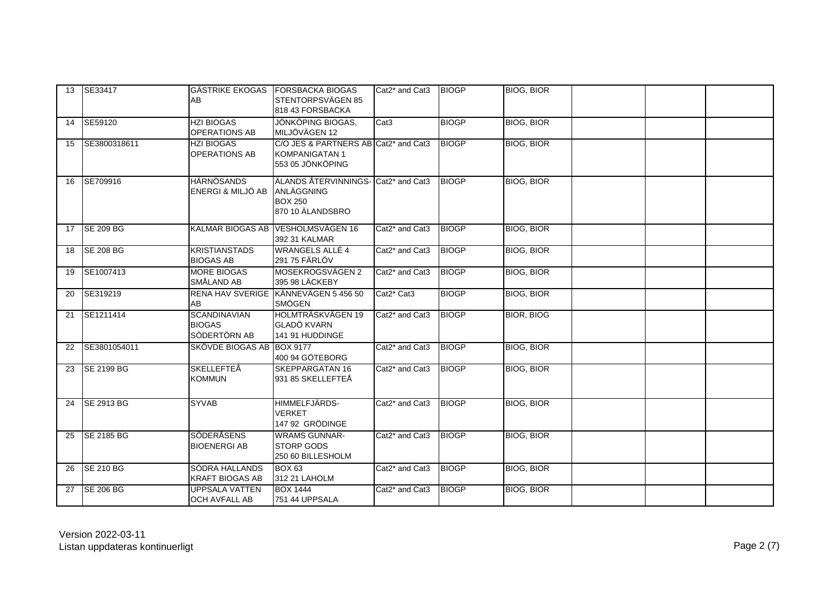| 13 | SE33417           | <b>I</b> GÄSTRIKE EKOGAS<br><b>AB</b>                | <b>FORSBACKA BIOGAS</b><br>STENTORPSVÄGEN 85<br>818 43 FORSBACKA                             | Cat <sub>2</sub> * and Cat <sub>3</sub> | <b>BIOGP</b> | <b>BIOG, BIOR</b> |  |  |
|----|-------------------|------------------------------------------------------|----------------------------------------------------------------------------------------------|-----------------------------------------|--------------|-------------------|--|--|
| 14 | SE59120           | <b>HZI BIOGAS</b><br><b>OPERATIONS AB</b>            | <b>JÖNKÖPING BIOGAS,</b><br>MILJÖVÄGEN 12                                                    | Cat <sub>3</sub>                        | <b>BIOGP</b> | <b>BIOG, BIOR</b> |  |  |
| 15 | SE3800318611      | <b>HZI BIOGAS</b><br><b>OPERATIONS AB</b>            | C/O JES & PARTNERS AB Cat2 <sup>*</sup> and Cat3<br><b>KOMPANIGATAN1</b><br>553 05 JÖNKÖPING |                                         | <b>BIOGP</b> | <b>BIOG, BIOR</b> |  |  |
| 16 | SE709916          | <b>HÄRNÖSANDS</b><br>ENERGI & MILJÖ AB               | ÄLANDS ÅTERVINNINGS- Cat2* and Cat3<br>ANLÄGGNING<br><b>BOX 250</b><br>870 10 ÄLANDSBRO      |                                         | <b>BIOGP</b> | <b>BIOG, BIOR</b> |  |  |
| 17 | <b>SE 209 BG</b>  | <b>KALMAR BIOGAS AB</b>                              | VESHOLMSVÄGEN 16<br>392 31 KALMAR                                                            | Cat <sub>2</sub> * and Cat <sub>3</sub> | <b>BIOGP</b> | <b>BIOG, BIOR</b> |  |  |
| 18 | <b>ISE 208 BG</b> | <b>KRISTIANSTADS</b><br><b>BIOGAS AB</b>             | <b>WRANGELS ALLÉ 4</b><br>291 75 FÄRLÖV                                                      | Cat <sub>2</sub> * and Cat <sub>3</sub> | <b>BIOGP</b> | <b>BIOG, BIOR</b> |  |  |
| 19 | SE1007413         | <b>MORE BIOGAS</b><br>SMÅLAND AB                     | MOSEKROGSVÄGEN 2<br>395 98 LÄCKEBY                                                           | Cat2* and Cat3                          | <b>BIOGP</b> | <b>BIOG, BIOR</b> |  |  |
| 20 | <b>SE319219</b>   | <b>RENA HAV SVERIGE</b><br>AB                        | KÄNNEVÄGEN 5 456 50<br><b>SMÖGEN</b>                                                         | Cat <sub>2</sub> * Cat <sub>3</sub>     | <b>BIOGP</b> | <b>BIOG, BIOR</b> |  |  |
| 21 | <b>SE1211414</b>  | <b>SCANDINAVIAN</b><br><b>BIOGAS</b><br>SÖDERTÖRN AB | HOLMTRÄSKVÄGEN 19<br><b>GLADÖ KVARN</b><br>141 91 HUDDINGE                                   | Cat <sub>2</sub> * and Cat <sub>3</sub> | <b>BIOGP</b> | <b>BIOR, BIOG</b> |  |  |
| 22 | SE3801054011      | SKÖVDE BIOGAS AB                                     | <b>BOX 9177</b><br>400 94 GÖTEBORG                                                           | Cat2* and Cat3                          | <b>BIOGP</b> | <b>BIOG, BIOR</b> |  |  |
| 23 | <b>SE 2199 BG</b> | <b>SKELLEFTEÅ</b><br><b>KOMMUN</b>                   | <b>SKEPPARGATAN 16</b><br>931 85 SKELLEFTEÅ                                                  | Cat2* and Cat3                          | <b>BIOGP</b> | <b>BIOG, BIOR</b> |  |  |
| 24 | <b>SE 2913 BG</b> | <b>SYVAB</b>                                         | HIMMELFJÄRDS-<br><b>VERKET</b><br>147 92 GRÖDINGE                                            | Cat <sub>2</sub> * and Cat <sub>3</sub> | <b>BIOGP</b> | <b>BIOG, BIOR</b> |  |  |
| 25 | <b>SE 2185 BG</b> | SÖDERÅSENS<br><b>BIOENERGI AB</b>                    | <b>WRAMS GUNNAR-</b><br><b>STORP GODS</b><br>250 60 BILLESHOLM                               | Cat <sub>2</sub> * and Cat <sub>3</sub> | <b>BIOGP</b> | <b>BIOG, BIOR</b> |  |  |
| 26 | <b>SE 210 BG</b>  | SÖDRA HALLANDS<br><b>KRAFT BIOGAS AB</b>             | <b>BOX 63</b><br>312 21 LAHOLM                                                               | Cat <sub>2</sub> * and Cat <sub>3</sub> | <b>BIOGP</b> | <b>BIOG, BIOR</b> |  |  |
| 27 | <b>SE 206 BG</b>  | <b>UPPSALA VATTEN</b><br><b>OCH AVFALL AB</b>        | <b>BOX 1444</b><br>751 44 UPPSALA                                                            | Cat <sub>2</sub> * and Cat <sub>3</sub> | <b>BIOGP</b> | <b>BIOG, BIOR</b> |  |  |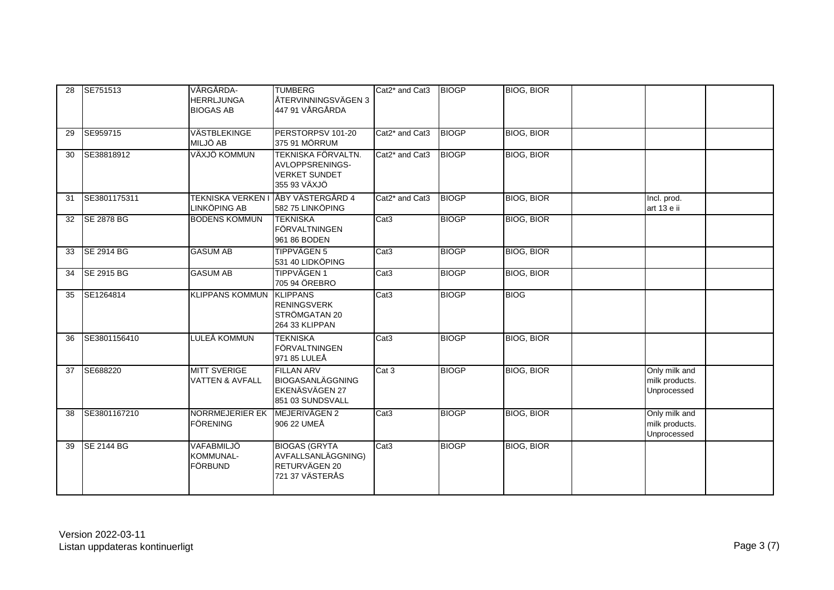| 28 | SE751513          | VÅRGÅRDA-<br><b>HERRLJUNGA</b><br><b>BIOGAS AB</b> | <b>TUMBERG</b><br>ÅTERVINNINGSVÄGEN 3<br>447 91 VÅRGÅRDA                           | Cat <sub>2</sub> * and Cat <sub>3</sub>            | <b>BIOGP</b> | <b>BIOG, BIOR</b> |                                                |
|----|-------------------|----------------------------------------------------|------------------------------------------------------------------------------------|----------------------------------------------------|--------------|-------------------|------------------------------------------------|
| 29 | SE959715          | VÄSTBLEKINGE<br>MILJÖ AB                           | PERSTORPSV 101-20<br>375 91 MÖRRUM                                                 | Cat <sub>2</sub> <sup>*</sup> and Cat <sub>3</sub> | <b>BIOGP</b> | <b>BIOG, BIOR</b> |                                                |
| 30 | SE38818912        | VÄXJÖ KOMMUN                                       | TEKNISKA FÖRVALTN.<br>AVLOPPSRENINGS-<br><b>VERKET SUNDET</b><br>355 93 VÄXJÖ      | Cat2* and Cat3                                     | <b>BIOGP</b> | <b>BIOG, BIOR</b> |                                                |
| 31 | SE3801175311      | LINKÖPING AB                                       | TEKNISKA VERKEN I JÅBY VÄSTERGÅRD 4<br>582 75 LINKÖPING                            | Cat <sub>2</sub> * and Cat <sub>3</sub>            | <b>BIOGP</b> | <b>BIOG, BIOR</b> | Incl. prod.<br>art 13 e ii                     |
| 32 | <b>SE 2878 BG</b> | <b>BODENS KOMMUN</b>                               | <b>TEKNISKA</b><br>FÖRVALTNINGEN<br>961 86 BODEN                                   | Cat <sub>3</sub>                                   | <b>BIOGP</b> | <b>BIOG, BIOR</b> |                                                |
| 33 | SE 2914 BG        | <b>GASUM AB</b>                                    | <b>TIPPVÄGEN 5</b><br>531 40 LIDKÖPING                                             | Cat <sub>3</sub>                                   | <b>BIOGP</b> | <b>BIOG, BIOR</b> |                                                |
| 34 | SE 2915 BG        | <b>GASUM AB</b>                                    | <b>TIPPVÄGEN1</b><br>705 94 ÖREBRO                                                 | Cat <sub>3</sub>                                   | <b>BIOGP</b> | <b>BIOG, BIOR</b> |                                                |
| 35 | SE1264814         | <b>KLIPPANS KOMMUN</b>                             | <b>KLIPPANS</b><br><b>RENINGSVERK</b><br>STRÖMGATAN 20<br>264 33 KLIPPAN           | Cat <sub>3</sub>                                   | <b>BIOGP</b> | <b>BIOG</b>       |                                                |
| 36 | SE3801156410      | LULEÅ KOMMUN                                       | <b>TEKNISKA</b><br>FÖRVALTNINGEN<br>971 85 LULEÅ                                   | Cat <sub>3</sub>                                   | <b>BIOGP</b> | <b>BIOG, BIOR</b> |                                                |
| 37 | SE688220          | <b>MITT SVERIGE</b><br><b>VATTEN &amp; AVFALL</b>  | <b>FILLAN ARV</b><br><b>BIOGASANLÄGGNING</b><br>EKENÄSVÄGEN 27<br>851 03 SUNDSVALL | Cat 3                                              | <b>BIOGP</b> | <b>BIOG, BIOR</b> | Only milk and<br>milk products.<br>Unprocessed |
| 38 | SE3801167210      | NORRMEJERIER EK<br><b>FÖRENING</b>                 | MEJERIVÄGEN 2<br>906 22 UMEÅ                                                       | Cat <sub>3</sub>                                   | <b>BIOGP</b> | <b>BIOG, BIOR</b> | Only milk and<br>milk products.<br>Unprocessed |
| 39 | <b>SE 2144 BG</b> | VAFABMILJÖ<br>KOMMUNAL-<br>FÖRBUND                 | <b>BIOGAS (GRYTA)</b><br>AVFALLSANLÄGGNING)<br>RETURVÄGEN 20<br>721 37 VÄSTERÅS    | Cat3                                               | <b>BIOGP</b> | <b>BIOG, BIOR</b> |                                                |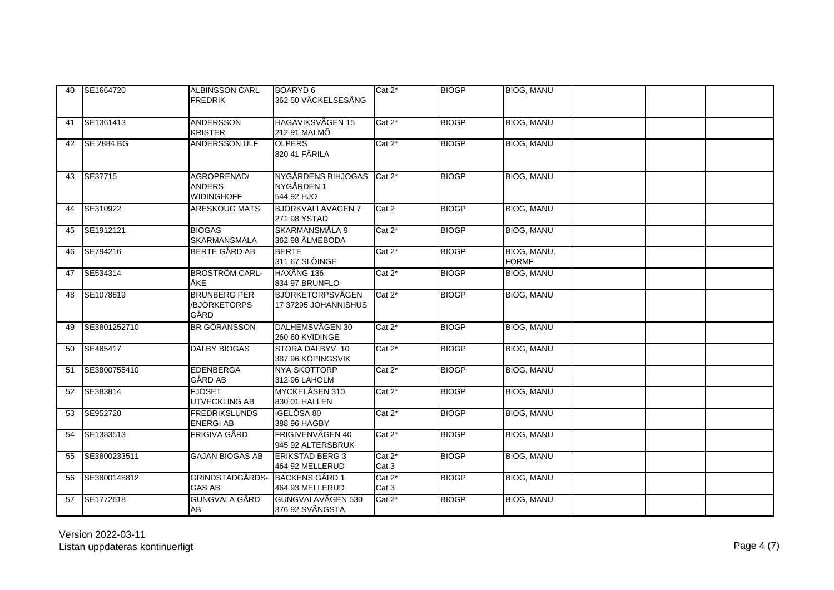| 40 | SE1664720         | <b>ALBINSSON CARL</b><br><b>FREDRIK</b>           | BOARYD 6<br>362 50 VÄCKELSESÅNG                       | $Cat 2^*$          | <b>BIOGP</b> | <b>BIOG, MANU</b>           |  |
|----|-------------------|---------------------------------------------------|-------------------------------------------------------|--------------------|--------------|-----------------------------|--|
| 41 | SE1361413         | <b>ANDERSSON</b><br><b>KRISTER</b>                | <b>HAGAVIKSVÄGEN 15</b><br>212 91 MALMÖ               | $Cat 2^*$          | <b>BIOGP</b> | <b>BIOG, MANU</b>           |  |
| 42 | <b>SE 2884 BG</b> | <b>ANDERSSON ULF</b>                              | <b>OLPERS</b><br>820 41 FÄRILA                        | $Cat 2^*$          | <b>BIOGP</b> | <b>BIOG, MANU</b>           |  |
| 43 | SE37715           | AGROPRENAD/<br><b>ANDERS</b><br><b>WIDINGHOFF</b> | NYGÅRDENS BIHJOGAS Cat 2*<br>NYGÅRDEN 1<br>544 92 HJO |                    | <b>BIOGP</b> | <b>BIOG, MANU</b>           |  |
| 44 | SE310922          | <b>ARESKOUG MATS</b>                              | BJÖRKVALLAVÄGEN 7<br>271 98 YSTAD                     | Cat 2              | <b>BIOGP</b> | <b>BIOG, MANU</b>           |  |
| 45 | SE1912121         | <b>BIOGAS</b><br>SKARMANSMÅLA                     | SKARMANSMÅLA 9<br>362 98 ÄLMEBODA                     | Cat 2*             | <b>BIOGP</b> | <b>BIOG, MANU</b>           |  |
| 46 | <b>SE794216</b>   | <b>BERTE GÅRD AB</b>                              | <b>BERTE</b><br>311 67 SLÖINGE                        | $Cat 2^*$          | <b>BIOGP</b> | BIOG, MANU,<br><b>FORMF</b> |  |
| 47 | SE534314          | <b>BROSTRÖM CARL-</b><br>ÅKE                      | HAXÄNG 136<br>834 97 BRUNFLO                          | $Cat 2^*$          | <b>BIOGP</b> | <b>BIOG, MANU</b>           |  |
| 48 | SE1078619         | <b>BRUNBERG PER</b><br>/BJÖRKETORPS<br>GÅRD       | <b>BJÖRKETORPSVÄGEN</b><br>17 37295 JOHANNISHUS       | $Cat 2^*$          | <b>BIOGP</b> | <b>BIOG, MANU</b>           |  |
| 49 | SE3801252710      | <b>BR GÖRANSSON</b>                               | DALHEMSVÄGEN 30<br>260 60 KVIDINGE                    | $Cat 2^*$          | <b>BIOGP</b> | <b>BIOG, MANU</b>           |  |
| 50 | SE485417          | <b>DALBY BIOGAS</b>                               | STORA DALBYV, 10<br>387 96 KÖPINGSVIK                 | $Cat 2^*$          | <b>BIOGP</b> | <b>BIOG, MANU</b>           |  |
| 51 | SE3800755410      | <b>EDENBERGA</b><br><b>GÅRD AB</b>                | <b>NYA SKOTTORP</b><br>312 96 LAHOLM                  | $Cat 2^*$          | <b>BIOGP</b> | <b>BIOG, MANU</b>           |  |
| 52 | SE383814          | <b>FJÖSET</b><br><b>UTVECKLING AB</b>             | MYCKELÅSEN 310<br>830 01 HALLEN                       | $Cat 2^*$          | <b>BIOGP</b> | <b>BIOG, MANU</b>           |  |
| 53 | SE952720          | <b>FREDRIKSLUNDS</b><br><b>ENERGIAB</b>           | IGELÖSA 80<br>388 96 HAGBY                            | Cat 2*             | <b>BIOGP</b> | <b>BIOG, MANU</b>           |  |
| 54 | <b>SE1383513</b>  | FRIGIVA GÅRD                                      | FRIGIVENVÄGEN 40<br>945 92 ALTERSBRUK                 | $Cat 2^*$          | <b>BIOGP</b> | <b>BIOG, MANU</b>           |  |
| 55 | SE3800233511      | <b>GAJAN BIOGAS AB</b>                            | <b>ERIKSTAD BERG 3</b><br>464 92 MELLERUD             | $Cat 2^*$<br>Cat 3 | <b>BIOGP</b> | <b>BIOG, MANU</b>           |  |
| 56 | SE3800148812      | GRINDSTADGÅRDS-<br><b>GAS AB</b>                  | <b>BÄCKENS GÅRD 1</b><br>464 93 MELLERUD              | $Cat 2^*$<br>Cat 3 | <b>BIOGP</b> | <b>BIOG, MANU</b>           |  |
| 57 | SE1772618         | <b>GUNGVALA GÅRD</b><br>AB                        | GUNGVALAVÄGEN 530<br>376 92 SVÄNGSTA                  | $Cat 2^*$          | <b>BIOGP</b> | <b>BIOG, MANU</b>           |  |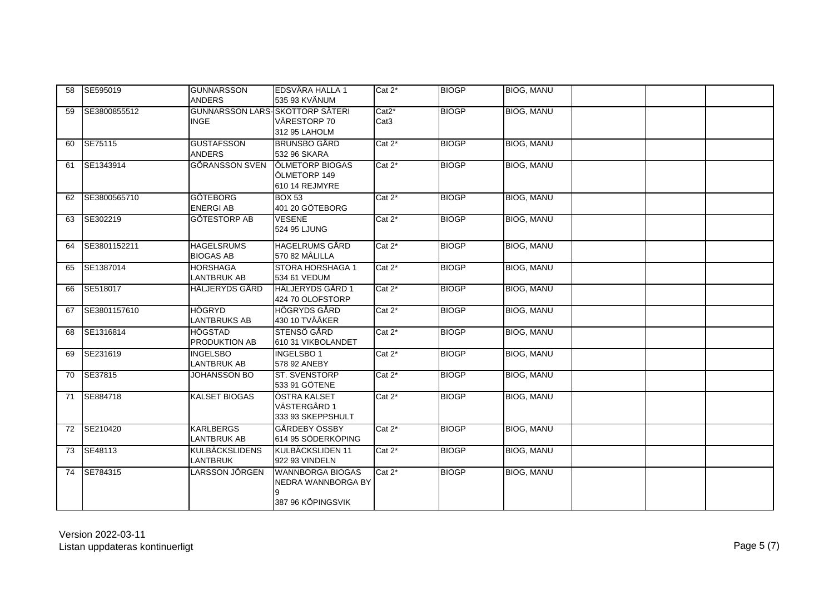| 58 | SE595019        | <b>GUNNARSSON</b><br><b>ANDERS</b>             | EDSVÄRA HALLA 1<br>535 93 KVÄNUM                                   | $Cat 2^*$                                         | <b>BIOGP</b> | <b>BIOG, MANU</b> |  |  |
|----|-----------------|------------------------------------------------|--------------------------------------------------------------------|---------------------------------------------------|--------------|-------------------|--|--|
| 59 | SE3800855512    | GUNNARSSON LARS-SKOTTORP SÄTERI<br><b>INGE</b> | VÄRESTORP 70<br>312 95 LAHOLM                                      | Cat <sub>2</sub> <sup>*</sup><br>Cat <sub>3</sub> | <b>BIOGP</b> | <b>BIOG, MANU</b> |  |  |
| 60 | <b>SE75115</b>  | <b>GUSTAFSSON</b><br><b>ANDERS</b>             | <b>BRUNSBO GÅRD</b><br>532 96 SKARA                                | $Cat 2^*$                                         | <b>BIOGP</b> | <b>BIOG. MANU</b> |  |  |
| 61 | SE1343914       | GÖRANSSON SVEN                                 | ÖLMETORP BIOGAS<br>ÖLMETORP 149<br>610 14 REJMYRE                  | $Cat 2^*$                                         | <b>BIOGP</b> | <b>BIOG, MANU</b> |  |  |
| 62 | SE3800565710    | <b>GÖTEBORG</b><br><b>ENERGIAB</b>             | <b>BOX 53</b><br>401 20 GÖTEBORG                                   | $Cat 2*$                                          | <b>BIOGP</b> | <b>BIOG, MANU</b> |  |  |
| 63 | SE302219        | <b>GÖTESTORP AB</b>                            | <b>VESENE</b><br>524 95 LJUNG                                      | $Cat 2^*$                                         | <b>BIOGP</b> | <b>BIOG, MANU</b> |  |  |
| 64 | SE3801152211    | <b>HAGELSRUMS</b><br><b>BIOGAS AB</b>          | <b>HAGELRUMS GÅRD</b><br>570 82 MÅLILLA                            | $Cat 2^*$                                         | <b>BIOGP</b> | <b>BIOG. MANU</b> |  |  |
| 65 | SE1387014       | <b>HORSHAGA</b><br><b>LANTBRUK AB</b>          | STORA HORSHAGA 1<br>534 61 VEDUM                                   | $Cat 2^*$                                         | <b>BIOGP</b> | <b>BIOG, MANU</b> |  |  |
| 66 | SE518017        | HÄLJERYDS GÅRD                                 | HÄLJERYDS GÅRD 1<br>424 70 OLOFSTORP                               | $Cat 2^*$                                         | <b>BIOGP</b> | <b>BIOG, MANU</b> |  |  |
| 67 | SE3801157610    | <b>HÖGRYD</b><br><b>LANTBRUKS AB</b>           | <b>HÖGRYDS GÅRD</b><br>430 10 TVÅÅKER                              | $Cat 2^*$                                         | <b>BIOGP</b> | <b>BIOG, MANU</b> |  |  |
| 68 | SE1316814       | <b>HÖGSTAD</b><br><b>PRODUKTION AB</b>         | STENSÖ GÅRD<br>610 31 VIKBOLANDET                                  | $Cat 2*$                                          | <b>BIOGP</b> | <b>BIOG, MANU</b> |  |  |
| 69 | SE231619        | <b>INGELSBO</b><br><b>LANTBRUK AB</b>          | <b>INGELSBO1</b><br>578 92 ANEBY                                   | $Cat 2^*$                                         | <b>BIOGP</b> | <b>BIOG, MANU</b> |  |  |
| 70 | SE37815         | <b>JOHANSSON BO</b>                            | <b>ST. SVENSTORP</b><br>533 91 GÖTENE                              | $Cat 2^*$                                         | <b>BIOGP</b> | <b>BIOG, MANU</b> |  |  |
| 71 | <b>SE884718</b> | <b>KALSET BIOGAS</b>                           | ÖSTRA KALSET<br>VÄSTERGÅRD 1<br>333 93 SKEPPSHULT                  | $Cat 2^*$                                         | <b>BIOGP</b> | <b>BIOG, MANU</b> |  |  |
| 72 | SE210420        | <b>KARLBERGS</b><br><b>LANTBRUK AB</b>         | GÅRDEBY ÖSSBY<br>614 95 SÖDERKÖPING                                | $\overline{Cat 2^*}$                              | <b>BIOGP</b> | <b>BIOG. MANU</b> |  |  |
| 73 | SE48113         | <b>KULBÄCKSLIDENS</b><br><b>LANTBRUK</b>       | KULBÄCKSLIDEN 11<br>922 93 VINDELN                                 | $Cat 2^*$                                         | <b>BIOGP</b> | <b>BIOG, MANU</b> |  |  |
| 74 | SE784315        | LARSSON JÖRGEN                                 | <b>WANNBORGA BIOGAS</b><br>NEDRA WANNBORGA BY<br>387 96 KÖPINGSVIK | $Cat 2^*$                                         | <b>BIOGP</b> | <b>BIOG, MANU</b> |  |  |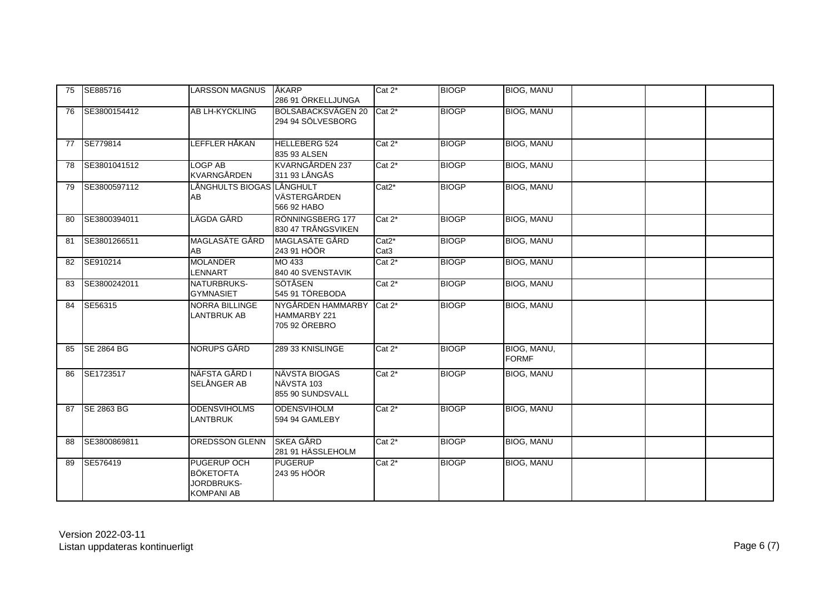| 75 | SE885716           | <b>LARSSON MAGNUS</b>                                                     | ÅKARP<br>286 91 ÖRKELLJUNGA                               | $Cat 2^*$                    | <b>BIOGP</b> | <b>BIOG, MANU</b>           |  |
|----|--------------------|---------------------------------------------------------------------------|-----------------------------------------------------------|------------------------------|--------------|-----------------------------|--|
| 76 | SE3800154412       | <b>AB LH-KYCKLING</b>                                                     | BOLSABACKSVÄGEN 20 Cat 2*<br>294 94 SÖLVESBORG            |                              | <b>BIOGP</b> | <b>BIOG, MANU</b>           |  |
| 77 | SE779814           | LEFFLER HÅKAN                                                             | <b>HELLEBERG 524</b><br>835 93 ALSEN                      | $Cat 2*$                     | <b>BIOGP</b> | <b>BIOG, MANU</b>           |  |
| 78 | SE3801041512       | <b>LOGP AB</b><br>KVARNGÅRDEN                                             | KVARNGÅRDEN 237<br>311 93 LÅNGÅS                          | $Cat 2^*$                    | <b>BIOGP</b> | <b>BIOG, MANU</b>           |  |
| 79 | SE3800597112       | LÅNGHULTS BIOGAS LÅNGHULT<br>AB                                           | VÄSTERGÅRDEN<br>566 92 HABO                               | Cat <sub>2</sub> *           | <b>BIOGP</b> | <b>BIOG, MANU</b>           |  |
| 80 | SE3800394011       | LÄGDA GÅRD                                                                | RÖNNINGSBERG 177<br>830 47 TRÅNGSVIKEN                    | $Cat 2^*$                    | <b>BIOGP</b> | <b>BIOG, MANU</b>           |  |
| 81 | SE3801266511       | MAGLASÄTE GÅRD<br>AB                                                      | MAGLASÄTE GÅRD<br>243 91 HÖÖR                             | $Cat2^*$<br>Cat <sub>3</sub> | <b>BIOGP</b> | <b>BIOG, MANU</b>           |  |
| 82 | SE910214           | <b>MOLANDER</b><br><b>LENNART</b>                                         | MO 433<br>840 40 SVENSTAVIK                               | Cat 2*                       | <b>BIOGP</b> | <b>BIOG, MANU</b>           |  |
| 83 | SE3800242011       | NATURBRUKS-<br><b>GYMNASIET</b>                                           | SÖTÅSEN<br>545 91 TÖREBODA                                | $Cat 2^*$                    | <b>BIOGP</b> | <b>BIOG, MANU</b>           |  |
| 84 | SE56315            | <b>NORRA BILLINGE</b><br><b>LANTBRUK AB</b>                               | NYGÅRDEN HAMMARBY<br><b>HAMMARBY 221</b><br>705 92 ÖREBRO | $Cat 2^*$                    | <b>BIOGP</b> | <b>BIOG, MANU</b>           |  |
| 85 | <b>ISE 2864 BG</b> | NORUPS GÅRD                                                               | 289 33 KNISLINGE                                          | $Cat 2^*$                    | <b>BIOGP</b> | BIOG, MANU,<br><b>FORMF</b> |  |
| 86 | SE1723517          | NÄFSTA GÅRD I<br>SELÅNGER AB                                              | NÄVSTA BIOGAS<br>NÄVSTA 103<br>855 90 SUNDSVALL           | $Cat 2^*$                    | <b>BIOGP</b> | <b>BIOG, MANU</b>           |  |
| 87 | <b>ISE 2863 BG</b> | <b>ODENSVIHOLMS</b><br><b>LANTBRUK</b>                                    | <b>ODENSVIHOLM</b><br>594 94 GAMLEBY                      | $Cat 2^*$                    | <b>BIOGP</b> | <b>BIOG, MANU</b>           |  |
| 88 | SE3800869811       | <b>OREDSSON GLENN</b>                                                     | <b>SKEA GÅRD</b><br>281 91 HÄSSLEHOLM                     | $Cat 2^*$                    | <b>BIOGP</b> | <b>BIOG, MANU</b>           |  |
| 89 | SE576419           | <b>PUGERUP OCH</b><br><b>BÖKETOFTA</b><br>JORDBRUKS-<br><b>KOMPANI AB</b> | <b>PUGERUP</b><br>243 95 HÖÖR                             | $Cat 2^*$                    | <b>BIOGP</b> | BIOG, MANU                  |  |